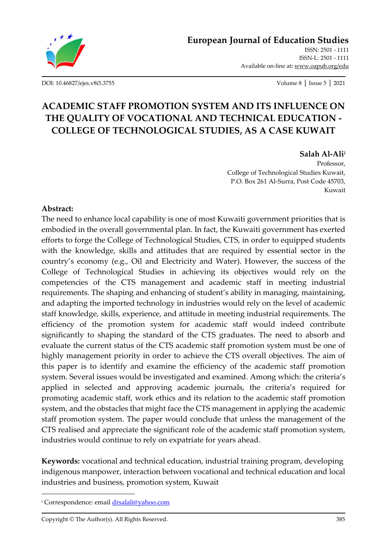

**[European Journal of Education Studies](http://oapub.org/edu/index.php/ejes)**

[ISSN: 2501 -](http://oapub.org/edu/index.php/ejes) 1111 [ISSN-L: 2501 -](http://oapub.org/edu/index.php/ejes) 1111 Available on-line at**:** [www.oapub.org/edu](http://www.oapub.org/edu)

[DOI: 10.46827/ejes.v8i5.3755](http://dx.doi.org/10.46827/ejes.v8i5.3755) Volume 8 │ Issue 5 │ 2021

# **ACADEMIC STAFF PROMOTION SYSTEM AND ITS INFLUENCE ON THE QUALITY OF VOCATIONAL AND TECHNICAL EDUCATION - COLLEGE OF TECHNOLOGICAL STUDIES, AS A CASE KUWAIT**

#### **Salah Al-Ali<sup>i</sup>**

Professor, College of Technological Studies Kuwait, P.O. Box 261 Al-Surra, Post Code 45703, Kuwait

#### **Abstract:**

The need to enhance local capability is one of most Kuwaiti government priorities that is embodied in the overall governmental plan. In fact, the Kuwaiti government has exerted efforts to forge the College of Technological Studies, CTS, in order to equipped students with the knowledge, skills and attitudes that are required by essential sector in the country's economy (e.g., Oil and Electricity and Water). However, the success of the College of Technological Studies in achieving its objectives would rely on the competencies of the CTS management and academic staff in meeting industrial requirements. The shaping and enhancing of student's ability in managing, maintaining, and adapting the imported technology in industries would rely on the level of academic staff knowledge, skills, experience, and attitude in meeting industrial requirements. The efficiency of the promotion system for academic staff would indeed contribute significantly to shaping the standard of the CTS graduates. The need to absorb and evaluate the current status of the CTS academic staff promotion system must be one of highly management priority in order to achieve the CTS overall objectives. The aim of this paper is to identify and examine the efficiency of the academic staff promotion system. Several issues would be investigated and examined. Among which: the criteria's applied in selected and approving academic journals, the criteria's required for promoting academic staff, work ethics and its relation to the academic staff promotion system, and the obstacles that might face the CTS management in applying the academic staff promotion system. The paper would conclude that unless the management of the CTS realised and appreciate the significant role of the academic staff promotion system, industries would continue to rely on expatriate for years ahead.

**Keywords:** vocational and technical education, industrial training program, developing indigenous manpower, interaction between vocational and technical education and local industries and business, promotion system, Kuwait

<sup>i</sup> Correspondence: emai[l drsalali@yahoo.com](mailto:drsalali@yahoo.com)

Copyright © The Author(s). All Rights Reserved. 385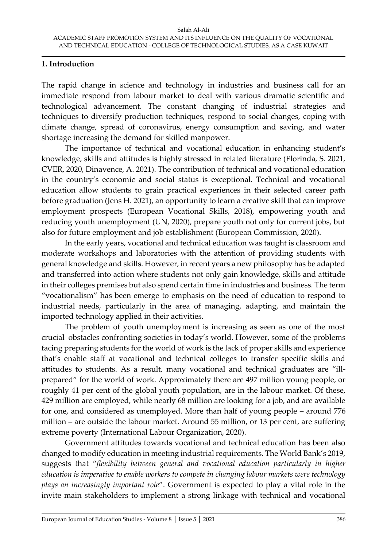#### **1. Introduction**

The rapid change in science and technology in industries and business call for an immediate respond from labour market to deal with various dramatic scientific and technological advancement. The constant changing of industrial strategies and techniques to diversify production techniques, respond to social changes, coping with climate change, spread of coronavirus, energy consumption and saving, and water shortage increasing the demand for skilled manpower.

The importance of technical and vocational education in enhancing student's knowledge, skills and attitudes is highly stressed in related literature (Florinda, S. 2021, CVER, 2020, Dinavence, A. 2021). The contribution of technical and vocational education in the country's economic and social status is exceptional. Technical and vocational education allow students to grain practical experiences in their selected career path before graduation (Jens H. 2021), an opportunity to learn a creative skill that can improve employment prospects (European Vocational Skills, 2018), empowering youth and reducing youth unemployment (UN, 2020), prepare youth not only for current jobs, but also for future employment and job establishment (European Commission, 2020).

In the early years, vocational and technical education was taught is classroom and moderate workshops and laboratories with the attention of providing students with general knowledge and skills. However, in recent years a new philosophy has be adapted and transferred into action where students not only gain knowledge, skills and attitude in their colleges premises but also spend certain time in industries and business. The term "vocationalism" has been emerge to emphasis on the need of education to respond to industrial needs, particularly in the area of managing, adapting, and maintain the imported technology applied in their activities.

The problem of youth unemployment is increasing as seen as one of the most crucial obstacles confronting societies in today's world. However, some of the problems facing preparing students for the world of work is the lack of proper skills and experience that's enable staff at vocational and technical colleges to transfer specific skills and attitudes to students. As a result, many vocational and technical graduates are "illprepared" for the world of work. Approximately there are 497 million young people, or roughly 41 per cent of the global youth population, are in the labour market. Of these, 429 million are employed, while nearly 68 million are looking for a job, and are available for one, and considered as unemployed. More than half of young people – around 776 million – are outside the labour market. Around 55 million, or 13 per cent, are suffering extreme poverty (International Labour Organization, 2020).

Government attitudes towards vocational and technical education has been also changed to modify education in meeting industrial requirements. The World Bank's 2019, suggests that "*flexibility between general and vocational education particularly in higher education is imperative to enable workers to compete in changing labour markets were technology plays an increasingly important role*". Government is expected to play a vital role in the invite main stakeholders to implement a strong linkage with technical and vocational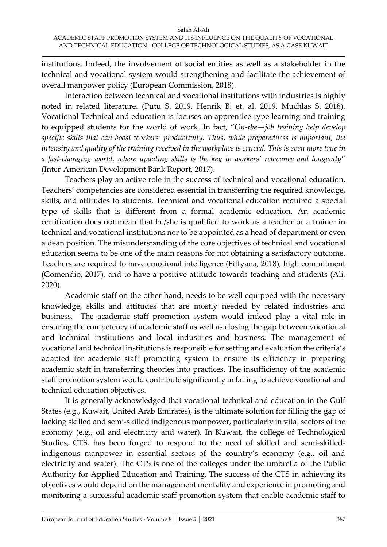institutions. Indeed, the involvement of social entities as well as a stakeholder in the technical and vocational system would strengthening and facilitate the achievement of overall manpower policy (European Commission, 2018).

Interaction between technical and vocational institutions with industries is highly noted in related literature. (Putu S. 2019, Henrik B. et. al. 2019, Muchlas S. 2018). Vocational Technical and education is focuses on apprentice-type learning and training to equipped students for the world of work. In fact, "*On-the—job training help develop specific skills that can boost workers' productivity. Thus, while preparedness is important, the intensity and quality of the training received in the workplace is crucial. This is even more true in a fast-changing world, where updating skills is the key to workers' relevance and longevity*" (Inter-American Development Bank Report, 2017).

Teachers play an active role in the success of technical and vocational education. Teachers' competencies are considered essential in transferring the required knowledge, skills, and attitudes to students. Technical and vocational education required a special type of skills that is different from a formal academic education. An academic certification does not mean that he/she is qualified to work as a teacher or a trainer in technical and vocational institutions nor to be appointed as a head of department or even a dean position. The misunderstanding of the core objectives of technical and vocational education seems to be one of the main reasons for not obtaining a satisfactory outcome. Teachers are required to have emotional intelligence (Fiftyana, 2018), high commitment (Gomendio, 2017), and to have a positive attitude towards teaching and students (Ali, 2020).

Academic staff on the other hand, needs to be well equipped with the necessary knowledge, skills and attitudes that are mostly needed by related industries and business. The academic staff promotion system would indeed play a vital role in ensuring the competency of academic staff as well as closing the gap between vocational and technical institutions and local industries and business. The management of vocational and technical institutions is responsible for setting and evaluation the criteria's adapted for academic staff promoting system to ensure its efficiency in preparing academic staff in transferring theories into practices. The insufficiency of the academic staff promotion system would contribute significantly in falling to achieve vocational and technical education objectives.

It is generally acknowledged that vocational technical and education in the Gulf States (e.g., Kuwait, United Arab Emirates), is the ultimate solution for filling the gap of lacking skilled and semi-skilled indigenous manpower, particularly in vital sectors of the economy (e.g., oil and electricity and water). In Kuwait, the college of Technological Studies, CTS, has been forged to respond to the need of skilled and semi-skilledindigenous manpower in essential sectors of the country's economy (e.g., oil and electricity and water). The CTS is one of the colleges under the umbrella of the Public Authority for Applied Education and Training. The success of the CTS in achieving its objectives would depend on the management mentality and experience in promoting and monitoring a successful academic staff promotion system that enable academic staff to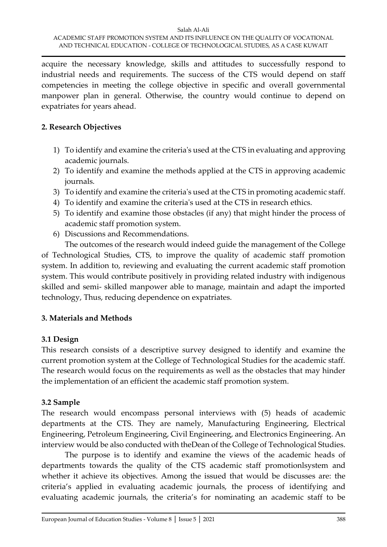acquire the necessary knowledge, skills and attitudes to successfully respond to industrial needs and requirements. The success of the CTS would depend on staff competencies in meeting the college objective in specific and overall governmental manpower plan in general. Otherwise, the country would continue to depend on expatriates for years ahead.

#### **2. Research Objectives**

- 1) To identify and examine the criteria's used at the CTS in evaluating and approving academic journals.
- 2) To identify and examine the methods applied at the CTS in approving academic journals.
- 3) To identify and examine the criteria's used at the CTS in promoting academic staff.
- 4) To identify and examine the criteria's used at the CTS in research ethics.
- 5) To identify and examine those obstacles (if any) that might hinder the process of academic staff promotion system.
- 6) Discussions and Recommendations.

The outcomes of the research would indeed guide the management of the College of Technological Studies, CTS, to improve the quality of academic staff promotion system. In addition to, reviewing and evaluating the current academic staff promotion system. This would contribute positively in providing related industry with indigenous skilled and semi- skilled manpower able to manage, maintain and adapt the imported technology, Thus, reducing dependence on expatriates.

## **3. Materials and Methods**

## **3.1 Design**

This research consists of a descriptive survey designed to identify and examine the current promotion system at the College of Technological Studies for the academic staff. The research would focus on the requirements as well as the obstacles that may hinder the implementation of an efficient the academic staff promotion system.

## **3.2 Sample**

The research would encompass personal interviews with (5) heads of academic departments at the CTS. They are namely, Manufacturing Engineering, Electrical Engineering, Petroleum Engineering, Civil Engineering, and Electronics Engineering. An interview would be also conducted with theDean of the College of Technological Studies.

The purpose is to identify and examine the views of the academic heads of departments towards the quality of the CTS academic staff promotionlsystem and whether it achieve its objectives. Among the issued that would be discusses are: the criteria's applied in evaluating academic journals, the process of identifying and evaluating academic journals, the criteria's for nominating an academic staff to be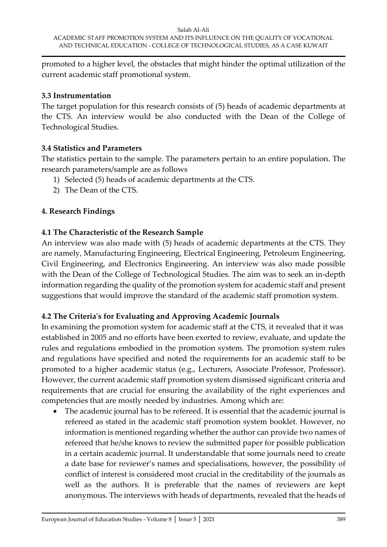promoted to a higher level, the obstacles that might hinder the optimal utilization of the current academic staff promotional system.

#### **3.3 Instrumentation**

The target population for this research consists of (5) heads of academic departments at the CTS. An interview would be also conducted with the Dean of the College of Technological Studies.

#### **3.4 Statistics and Parameters**

The statistics pertain to the sample. The parameters pertain to an entire population. The research parameters/sample are as follows

- 1) Selected (5) heads of academic departments at the CTS.
- 2) The Dean of the CTS.

#### **4. Research Findings**

## **4.1 The Characteristic of the Research Sample**

An interview was also made with (5) heads of academic departments at the CTS. They are namely, Manufacturing Engineering, Electrical Engineering, Petroleum Engineering, Civil Engineering, and Electronics Engineering. An interview was also made possible with the Dean of the College of Technological Studies. The aim was to seek an in-depth information regarding the quality of the promotion system for academic staff and present suggestions that would improve the standard of the academic staff promotion system.

## **4.2 The Criteria's for Evaluating and Approving Academic Journals**

In examining the promotion system for academic staff at the CTS, it revealed that it was established in 2005 and no efforts have been exerted to review, evaluate, and update the rules and regulations embodied in the promotion system. The promotion system rules and regulations have specified and noted the requirements for an academic staff to be promoted to a higher academic status (e.g., Lecturers, Associate Professor, Professor). However, the current academic staff promotion system dismissed significant criteria and requirements that are crucial for ensuring the availability of the right experiences and competencies that are mostly needed by industries. Among which are:

• The academic journal has to be refereed. It is essential that the academic journal is refereed as stated in the academic staff promotion system booklet. However, no information is mentioned regarding whether the author can provide two names of refereed that he/she knows to review the submitted paper for possible publication in a certain academic journal. It understandable that some journals need to create a date base for reviewer's names and specialisations, however, the possibility of conflict of interest is considered most crucial in the creditability of the journals as well as the authors. It is preferable that the names of reviewers are kept anonymous. The interviews with heads of departments, revealed that the heads of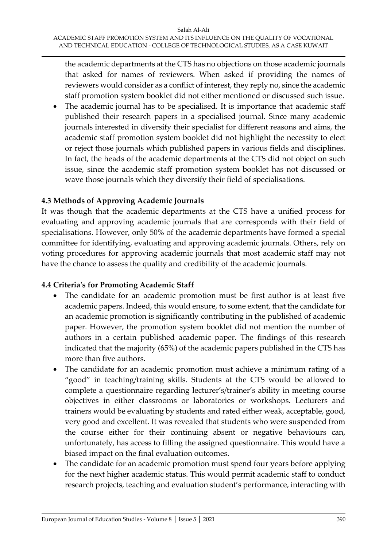the academic departments at the CTS has no objections on those academic journals that asked for names of reviewers. When asked if providing the names of reviewers would consider as a conflict of interest, they reply no, since the academic staff promotion system booklet did not either mentioned or discussed such issue.

• The academic journal has to be specialised. It is importance that academic staff published their research papers in a specialised journal. Since many academic journals interested in diversify their specialist for different reasons and aims, the academic staff promotion system booklet did not highlight the necessity to elect or reject those journals which published papers in various fields and disciplines. In fact, the heads of the academic departments at the CTS did not object on such issue, since the academic staff promotion system booklet has not discussed or wave those journals which they diversify their field of specialisations.

## **4.3 Methods of Approving Academic Journals**

It was though that the academic departments at the CTS have a unified process for evaluating and approving academic journals that are corresponds with their field of specialisations. However, only 50% of the academic departments have formed a special committee for identifying, evaluating and approving academic journals. Others, rely on voting procedures for approving academic journals that most academic staff may not have the chance to assess the quality and credibility of the academic journals.

#### **4.4 Criteria's for Promoting Academic Staff**

- The candidate for an academic promotion must be first author is at least five academic papers. Indeed, this would ensure, to some extent, that the candidate for an academic promotion is significantly contributing in the published of academic paper. However, the promotion system booklet did not mention the number of authors in a certain published academic paper. The findings of this research indicated that the majority (65%) of the academic papers published in the CTS has more than five authors.
- The candidate for an academic promotion must achieve a minimum rating of a "good" in teaching/training skills. Students at the CTS would be allowed to complete a questionnaire regarding lecturer's/trainer's ability in meeting course objectives in either classrooms or laboratories or workshops. Lecturers and trainers would be evaluating by students and rated either weak, acceptable, good, very good and excellent. It was revealed that students who were suspended from the course either for their continuing absent or negative behaviours can, unfortunately, has access to filling the assigned questionnaire. This would have a biased impact on the final evaluation outcomes.
- The candidate for an academic promotion must spend four years before applying for the next higher academic status. This would permit academic staff to conduct research projects, teaching and evaluation student's performance, interacting with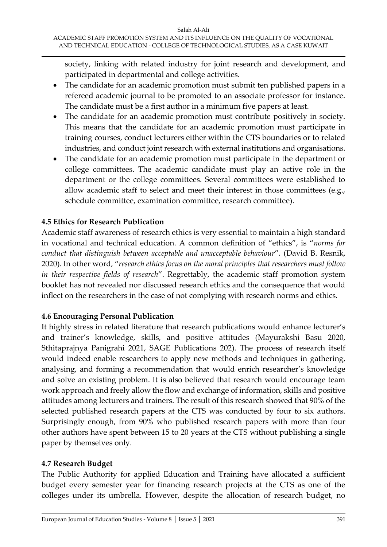society, linking with related industry for joint research and development, and participated in departmental and college activities.

- The candidate for an academic promotion must submit ten published papers in a refereed academic journal to be promoted to an associate professor for instance. The candidate must be a first author in a minimum five papers at least.
- The candidate for an academic promotion must contribute positively in society. This means that the candidate for an academic promotion must participate in training courses, conduct lecturers either within the CTS boundaries or to related industries, and conduct joint research with external institutions and organisations.
- The candidate for an academic promotion must participate in the department or college committees. The academic candidate must play an active role in the department or the college committees. Several committees were established to allow academic staff to select and meet their interest in those committees (e.g., schedule committee, examination committee, research committee).

## **4.5 Ethics for Research Publication**

Academic staff awareness of research ethics is very essential to maintain a high standard in vocational and technical education. A common definition of "ethics", is "*norms for conduct that distinguish between acceptable and unacceptable behaviour*". (David B. Resnik, 2020). In other word, "*research ethics focus on the moral principles that researchers must follow in their respective fields of research*". Regrettably, the academic staff promotion system booklet has not revealed nor discussed research ethics and the consequence that would inflect on the researchers in the case of not complying with research norms and ethics.

## **4.6 Encouraging Personal Publication**

It highly stress in related literature that research publications would enhance lecturer's and trainer's knowledge, skills, and positive attitudes (Mayurakshi Basu 2020, Sthitaprajnya Panigrahi 2021, SAGE Publications 202). The process of research itself would indeed enable researchers to apply new methods and techniques in gathering, analysing, and forming a recommendation that would enrich researcher's knowledge and solve an existing problem. It is also believed that research would encourage team work approach and freely allow the flow and exchange of information, skills and positive attitudes among lecturers and trainers. The result of this research showed that 90% of the selected published research papers at the CTS was conducted by four to six authors. Surprisingly enough, from 90% who published research papers with more than four other authors have spent between 15 to 20 years at the CTS without publishing a single paper by themselves only.

## **4.7 Research Budget**

The Public Authority for applied Education and Training have allocated a sufficient budget every semester year for financing research projects at the CTS as one of the colleges under its umbrella. However, despite the allocation of research budget, no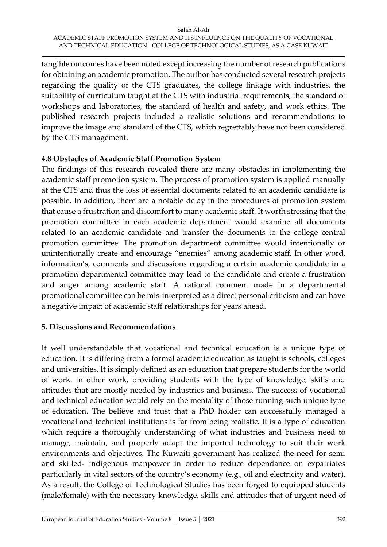tangible outcomes have been noted except increasing the number of research publications for obtaining an academic promotion. The author has conducted several research projects regarding the quality of the CTS graduates, the college linkage with industries, the suitability of curriculum taught at the CTS with industrial requirements, the standard of workshops and laboratories, the standard of health and safety, and work ethics. The published research projects included a realistic solutions and recommendations to improve the image and standard of the CTS, which regrettably have not been considered by the CTS management.

#### **4.8 Obstacles of Academic Staff Promotion System**

The findings of this research revealed there are many obstacles in implementing the academic staff promotion system. The process of promotion system is applied manually at the CTS and thus the loss of essential documents related to an academic candidate is possible. In addition, there are a notable delay in the procedures of promotion system that cause a frustration and discomfort to many academic staff. It worth stressing that the promotion committee in each academic department would examine all documents related to an academic candidate and transfer the documents to the college central promotion committee. The promotion department committee would intentionally or unintentionally create and encourage "enemies" among academic staff. In other word, information's, comments and discussions regarding a certain academic candidate in a promotion departmental committee may lead to the candidate and create a frustration and anger among academic staff. A rational comment made in a departmental promotional committee can be mis-interpreted as a direct personal criticism and can have a negative impact of academic staff relationships for years ahead.

#### **5. Discussions and Recommendations**

It well understandable that vocational and technical education is a unique type of education. It is differing from a formal academic education as taught is schools, colleges and universities. It is simply defined as an education that prepare students for the world of work. In other work, providing students with the type of knowledge, skills and attitudes that are mostly needed by industries and business. The success of vocational and technical education would rely on the mentality of those running such unique type of education. The believe and trust that a PhD holder can successfully managed a vocational and technical institutions is far from being realistic. It is a type of education which require a thoroughly understanding of what industries and business need to manage, maintain, and properly adapt the imported technology to suit their work environments and objectives. The Kuwaiti government has realized the need for semi and skilled- indigenous manpower in order to reduce dependance on expatriates particularly in vital sectors of the country's economy (e.g., oil and electricity and water). As a result, the College of Technological Studies has been forged to equipped students (male/female) with the necessary knowledge, skills and attitudes that of urgent need of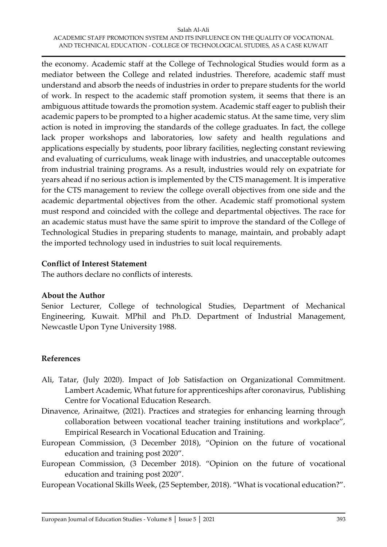the economy. Academic staff at the College of Technological Studies would form as a mediator between the College and related industries. Therefore, academic staff must understand and absorb the needs of industries in order to prepare students for the world of work. In respect to the academic staff promotion system, it seems that there is an ambiguous attitude towards the promotion system. Academic staff eager to publish their academic papers to be prompted to a higher academic status. At the same time, very slim action is noted in improving the standards of the college graduates. In fact, the college lack proper workshops and laboratories, low safety and health regulations and applications especially by students, poor library facilities, neglecting constant reviewing and evaluating of curriculums, weak linage with industries, and unacceptable outcomes from industrial training programs. As a result, industries would rely on expatriate for years ahead if no serious action is implemented by the CTS management. It is imperative for the CTS management to review the college overall objectives from one side and the academic departmental objectives from the other. Academic staff promotional system must respond and coincided with the college and departmental objectives. The race for an academic status must have the same spirit to improve the standard of the College of Technological Studies in preparing students to manage, maintain, and probably adapt the imported technology used in industries to suit local requirements.

#### **Conflict of Interest Statement**

The authors declare no conflicts of interests.

#### **About the Author**

Senior Lecturer, College of technological Studies, Department of Mechanical Engineering, Kuwait. MPhil and Ph.D. Department of Industrial Management, Newcastle Upon Tyne University 1988.

#### **References**

- Ali, Tatar, (July 2020). Impact of Job Satisfaction on Organizational Commitment. Lambert Academic, What future for apprenticeships after coronavirus, Publishing Centre for Vocational Education Research.
- Dinavence, Arinaitwe, (2021). Practices and strategies for enhancing learning through collaboration between vocational teacher training institutions and workplace", Empirical Research in Vocational Education and Training.
- European Commission, (3 December 2018), "Opinion on the future of vocational education and training post 2020".
- European Commission, (3 December 2018). "Opinion on the future of vocational education and training post 2020".
- European Vocational Skills Week, (25 September, 2018). "What is vocational education?".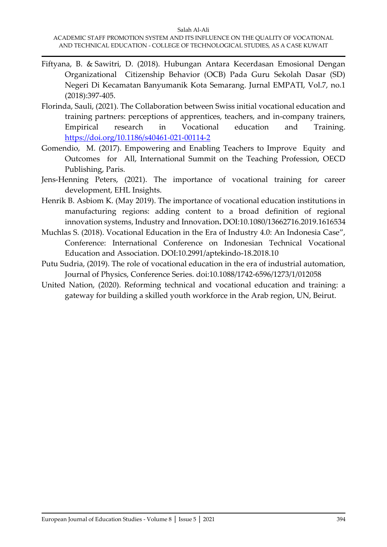- Fiftyana, B. & Sawitri, D. (2018). Hubungan Antara Kecerdasan Emosional Dengan Organizational Citizenship Behavior (OCB) Pada Guru Sekolah Dasar (SD) Negeri Di Kecamatan Banyumanik Kota Semarang. Jurnal EMPATI, Vol.7, no.1 (2018):397-405.
- Florinda, Sauli, (2021). The Collaboration between Swiss initial vocational education and training partners: perceptions of apprentices, teachers, and in-company trainers, Empirical research in Vocational education and Training. <https://doi.org/10.1186/s40461-021-00114-2>
- Gomendio, M. (2017). Empowering and Enabling Teachers to Improve Equity and Outcomes for All, International Summit on the Teaching Profession, OECD Publishing, Paris.
- Jens-Henning Peters, (2021). The importance of vocational training for career development, EHL Insights.
- Henrik B. Asbiom K. (May 2019). The importance of vocational education institutions in manufacturing regions: adding content to a broad definition of regional innovation systems, Industry and Innovation**.** DOI[:10.1080/13662716.2019.1616534](http://dx.doi.org/10.1080/13662716.2019.1616534)
- Muchlas S. (2018). Vocational Education in the Era of Industry 4.0: An Indonesia Case", Conference: International Conference on Indonesian Technical Vocational Education and Association. DOI[:10.2991/aptekindo-18.2018.10](http://dx.doi.org/10.2991/aptekindo-18.2018.10)
- Putu Sudria, (2019). The role of vocational education in the era of industrial automation, Journal of Physics, Conference Series. doi:10.1088/1742-6596/1273/1/012058
- United Nation, (2020). Reforming technical and vocational education and training: a gateway for building a skilled youth workforce in the Arab region, UN, Beirut.